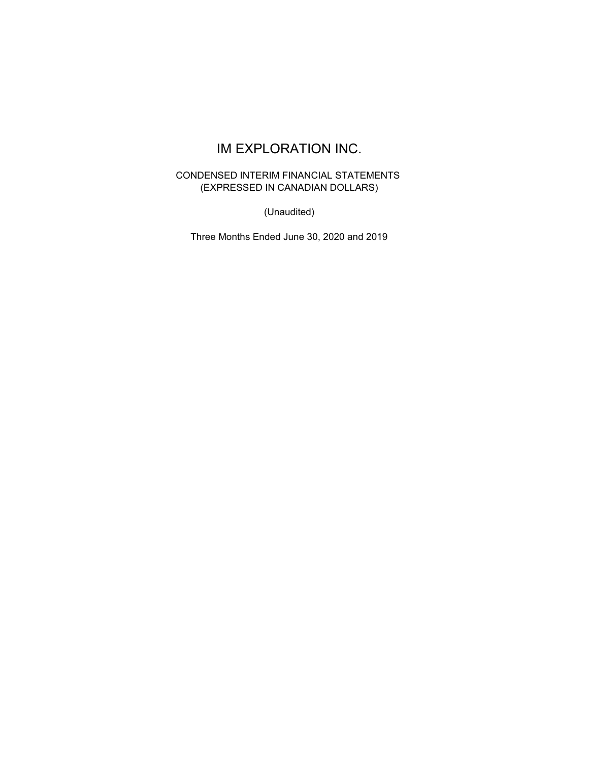# CONDENSED INTERIM FINANCIAL STATEMENTS (EXPRESSED IN CANADIAN DOLLARS)

(Unaudited)

Three Months Ended June 30, 2020 and 2019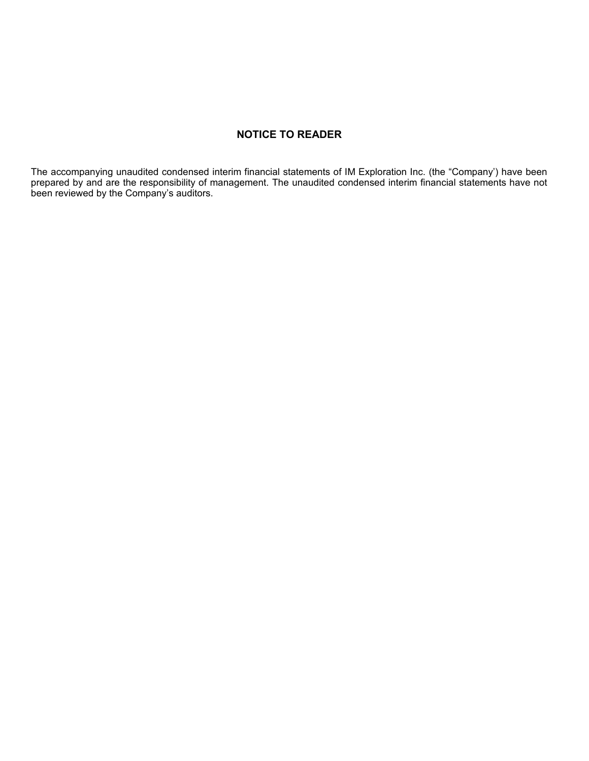# **NOTICE TO READER**

The accompanying unaudited condensed interim financial statements of IM Exploration Inc. (the "Company') have been prepared by and are the responsibility of management. The unaudited condensed interim financial statements have not been reviewed by the Company's auditors.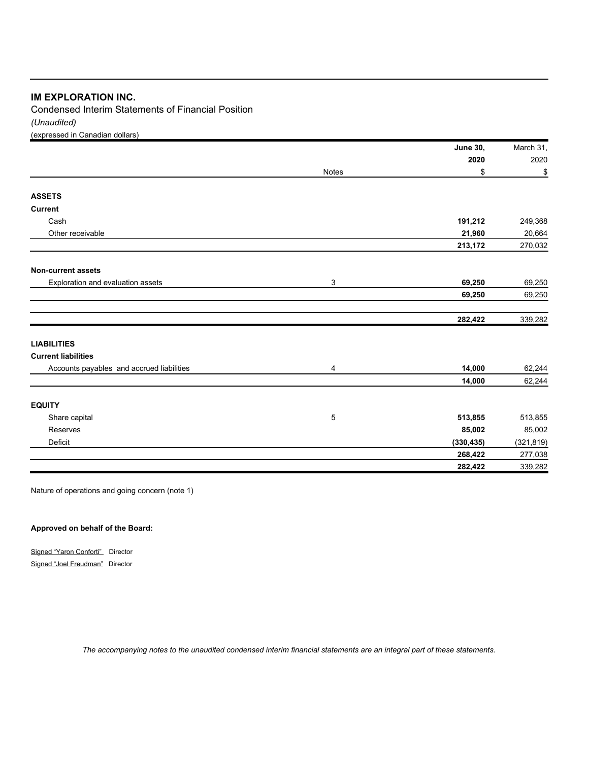*(Unaudited)* Condensed Interim Statements of Financial Position

(expressed in Canadian dollars)

|                                           |       | <b>June 30,</b> | March 31,  |
|-------------------------------------------|-------|-----------------|------------|
|                                           |       | 2020            | 2020       |
|                                           | Notes | \$              | \$         |
| <b>ASSETS</b>                             |       |                 |            |
| <b>Current</b>                            |       |                 |            |
| Cash                                      |       | 191,212         | 249,368    |
| Other receivable                          |       | 21,960          | 20,664     |
|                                           |       | 213,172         | 270,032    |
| <b>Non-current assets</b>                 |       |                 |            |
| Exploration and evaluation assets         | 3     | 69,250          | 69,250     |
|                                           |       | 69,250          | 69,250     |
|                                           |       | 282,422         | 339,282    |
| <b>LIABILITIES</b>                        |       |                 |            |
| <b>Current liabilities</b>                |       |                 |            |
| Accounts payables and accrued liabilities | 4     | 14,000          | 62,244     |
|                                           |       | 14,000          | 62,244     |
| <b>EQUITY</b>                             |       |                 |            |
| Share capital                             | 5     | 513,855         | 513,855    |
| Reserves                                  |       | 85,002          | 85,002     |
| Deficit                                   |       | (330, 435)      | (321, 819) |
|                                           |       | 268,422         | 277,038    |
|                                           |       | 282,422         | 339,282    |

Nature of operations and going concern (note 1)

### **Approved on behalf of the Board:**

Signed "Yaron Conforti" Director Signed "Joel Freudman" Director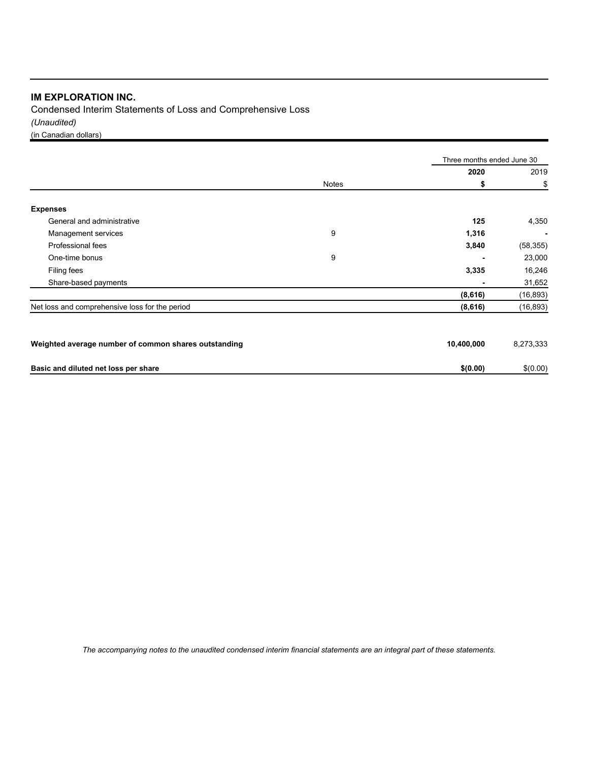Condensed Interim Statements of Loss and Comprehensive Loss *(Unaudited)* (in Canadian dollars)

|                                                      |              | Three months ended June 30 |           |  |
|------------------------------------------------------|--------------|----------------------------|-----------|--|
|                                                      |              | 2020                       | 2019      |  |
|                                                      | <b>Notes</b> | \$                         | \$        |  |
| <b>Expenses</b>                                      |              |                            |           |  |
| General and administrative                           |              | 125                        | 4,350     |  |
| Management services                                  | 9            | 1,316                      |           |  |
| Professional fees                                    |              | 3,840                      | (58, 355) |  |
| One-time bonus                                       | 9            |                            | 23,000    |  |
| Filing fees                                          |              | 3,335                      | 16,246    |  |
| Share-based payments                                 |              | ٠                          | 31,652    |  |
|                                                      |              | (8,616)                    | (16, 893) |  |
| Net loss and comprehensive loss for the period       |              | (8,616)                    | (16, 893) |  |
| Weighted average number of common shares outstanding |              | 10,400,000                 | 8,273,333 |  |
| Basic and diluted net loss per share                 |              | \$(0.00)                   | \$(0.00)  |  |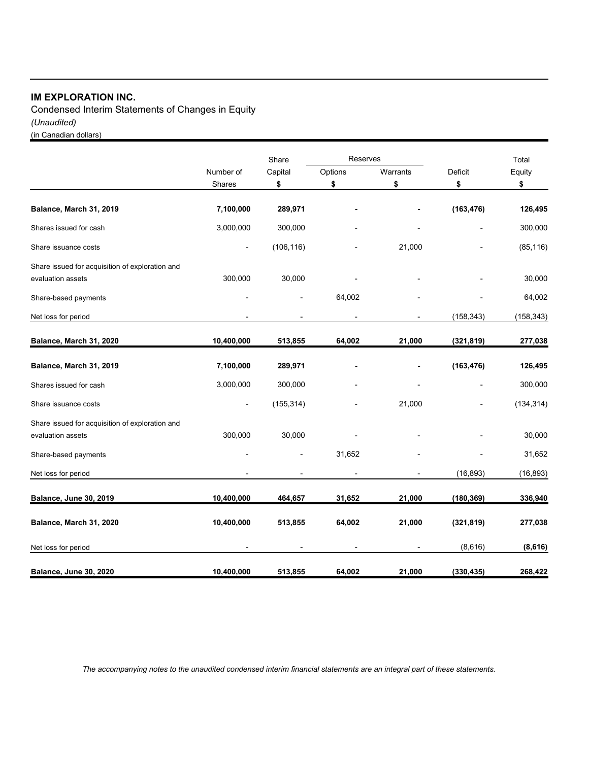Condensed Interim Statements of Changes in Equity *(Unaudited)* (in Canadian dollars)

Share Reserves Reserves and the Total Number of Capital Options Warrants Deficit Equity Shares **\$ \$ \$ \$ \$ Balance, March 31, 2019 7,100,000 289,971 - - (163,476) 126,495** Shares issued for cash 3,000,000 300,000 - 300,000 Share issuance costs and the costs and the costs of the costs of the costs of the costs of the costs of the cost of the costs of the costs of the costs of the costs of the costs of the costs of the costs of the costs of th Share issued for acquisition of exploration and evaluation assets 300,000 30,000 - - - 30,000 Share-based payments 64,002 - 64,002 - 64,002 - 64,002 - 64,002 Net loss for period (158,343) (158,343) (158,343) **Balance, March 31, 2020 10,400,000 513,855 64,002 21,000 (321,819) 277,038 Balance, March 31, 2019 7,100,000 289,971 - - (163,476) 126,495** Shares issued for cash 3,000,000 300,000 - 300,000 Share issuance costs (134,314) (155,314) - (155,314) - (134,314) (134,314) Share issued for acquisition of exploration and evaluation assets 300,000 30,000 - - - 30,000 Share-based payments **- 1999** - 1999 - 1999 - 1999 - 31,652 - 1999 - 31,652 - 1999 - 31,652 - 1999 - 31,652 - 31,652 Net loss for period (16,893) (16,893) (16,893) **Balance, June 30, 2019 10,400,000 464,657 31,652 21,000 (180,369) 336,940 Balance, March 31, 2020 10,400,000 513,855 64,002 21,000 (321,819) 277,038** Net loss for period **(8,616) (8,616) (8,616) (8,616) (8,616) (8,616) (8,616) (8,616) (8,616) (8,616) Balance, June 30, 2020 10,400,000 513,855 64,002 21,000 (330,435) 268,422**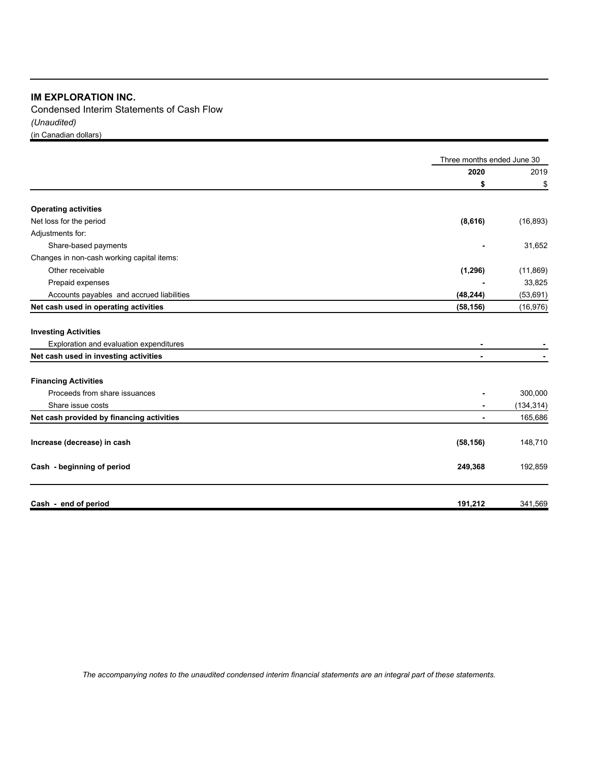Condensed Interim Statements of Cash Flow *(Unaudited)*  (in Canadian dollars)

|                                            | Three months ended June 30 |            |
|--------------------------------------------|----------------------------|------------|
|                                            | 2020                       | 2019       |
|                                            | \$                         | \$         |
| <b>Operating activities</b>                |                            |            |
| Net loss for the period                    | (8,616)                    | (16, 893)  |
| Adjustments for:                           |                            |            |
| Share-based payments                       |                            | 31,652     |
| Changes in non-cash working capital items: |                            |            |
| Other receivable                           | (1, 296)                   | (11, 869)  |
| Prepaid expenses                           |                            | 33,825     |
| Accounts payables and accrued liabilities  | (48, 244)                  | (53, 691)  |
| Net cash used in operating activities      | (58, 156)                  | (16, 976)  |
| <b>Investing Activities</b>                |                            |            |
| Exploration and evaluation expenditures    |                            |            |
| Net cash used in investing activities      |                            |            |
| <b>Financing Activities</b>                |                            |            |
| Proceeds from share issuances              |                            | 300,000    |
| Share issue costs                          |                            | (134, 314) |
| Net cash provided by financing activities  | $\blacksquare$             | 165,686    |
| Increase (decrease) in cash                | (58, 156)                  | 148,710    |
| Cash - beginning of period                 | 249,368                    | 192,859    |
| Cash - end of period                       | 191,212                    | 341,569    |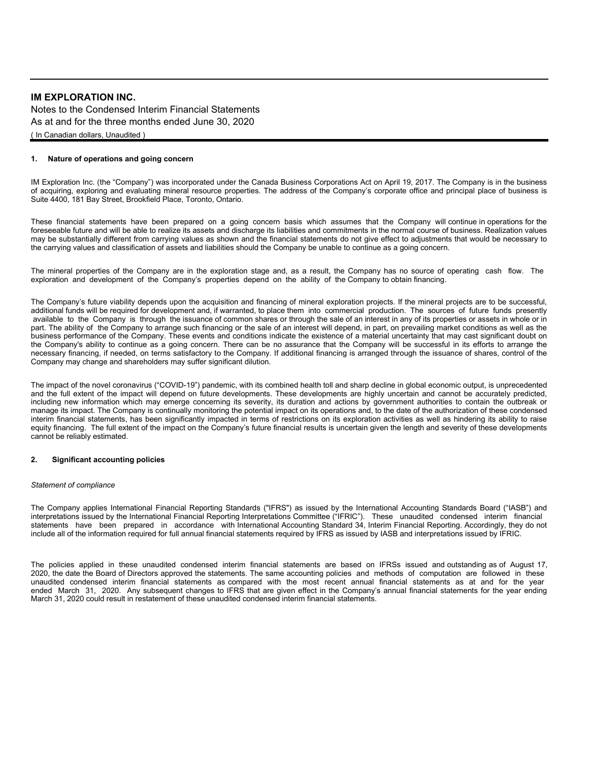Notes to the Condensed Interim Financial Statements As at and for the three months ended June 30, 2020 ( In Canadian dollars, Unaudited )

#### **1. Nature of operations and going concern**

IM Exploration Inc. (the "Company") was incorporated under the Canada Business Corporations Act on April 19, 2017. The Company is in the business of acquiring, exploring and evaluating mineral resource properties. The address of the Company's corporate office and principal place of business is Suite 4400, 181 Bay Street, Brookfield Place, Toronto, Ontario.

These financial statements have been prepared on a going concern basis which assumes that the Company will continue in operations for the foreseeable future and will be able to realize its assets and discharge its liabilities and commitments in the normal course of business. Realization values may be substantially different from carrying values as shown and the financial statements do not give effect to adjustments that would be necessary to the carrying values and classification of assets and liabilities should the Company be unable to continue as a going concern.

The mineral properties of the Company are in the exploration stage and, as a result, the Company has no source of operating cash flow. The exploration and development of the Company's properties depend on the ability of the Company to obtain financing.

The Company's future viability depends upon the acquisition and financing of mineral exploration projects. If the mineral projects are to be successful, additional funds will be required for development and, if warranted, to place them into commercial production. The sources of future funds presently available to the Company is through the issuance of common shares or through the sale of an interest in any of its properties or assets in whole or in part. The ability of the Company to arrange such financing or the sale of an interest will depend, in part, on prevailing market conditions as well as the business performance of the Company. These events and conditions indicate the existence of a material uncertainty that may cast significant doubt on the Company's ability to continue as a going concern. There can be no assurance that the Company will be successful in its efforts to arrange the necessary financing, if needed, on terms satisfactory to the Company. If additional financing is arranged through the issuance of shares, control of the Company may change and shareholders may suffer significant dilution.

The impact of the novel coronavirus ("COVID-19") pandemic, with its combined health toll and sharp decline in global economic output, is unprecedented and the full extent of the impact will depend on future developments. These developments are highly uncertain and cannot be accurately predicted, including new information which may emerge concerning its severity, its duration and actions by government authorities to contain the outbreak or manage its impact. The Company is continually monitoring the potential impact on its operations and, to the date of the authorization of these condensed interim financial statements, has been significantly impacted in terms of restrictions on its exploration activities as well as hindering its ability to raise equity financing. The full extent of the impact on the Company's future financial results is uncertain given the length and severity of these developments cannot be reliably estimated.

#### **2. Significant accounting policies**

#### *Statement of compliance*

The Company applies International Financial Reporting Standards ("IFRS") as issued by the International Accounting Standards Board ("IASB") and interpretations issued by the International Financial Reporting Interpretations Committee ("IFRIC"). These unaudited condensed interim financial statements have been prepared in accordance with International Accounting Standard 34, Interim Financial Reporting. Accordingly, they do not include all of the information required for full annual financial statements required by IFRS as issued by IASB and interpretations issued by IFRIC.

The policies applied in these unaudited condensed interim financial statements are based on IFRSs issued and outstanding as of August 17, 2020, the date the Board of Directors approved the statements. The same accounting policies and methods of computation are followed in these unaudited condensed interim financial statements as compared with the most recent annual financial statements as at and for the year ended March 31, 2020. Any subsequent changes to IFRS that are given effect in the Company's annual financial statements for the year ending March 31, 2020 could result in restatement of these unaudited condensed interim financial statements.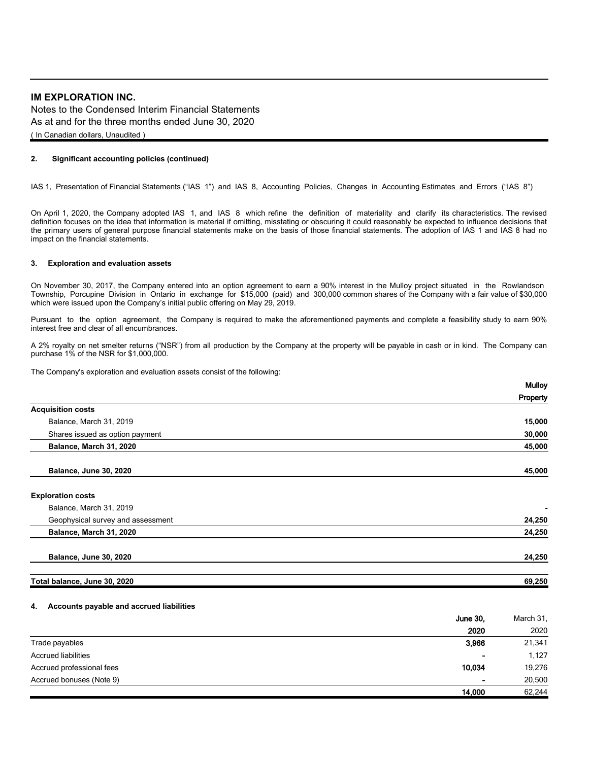Notes to the Condensed Interim Financial Statements As at and for the three months ended June 30, 2020 ( In Canadian dollars, Unaudited )

#### **2. Significant accounting policies (continued)**

#### IAS 1, Presentation of Financial Statements ("IAS 1") and IAS 8, Accounting Policies, Changes in Accounting Estimates and Errors ("IAS 8")

On April 1, 2020, the Company adopted IAS 1, and IAS 8 which refine the definition of materiality and clarify its characteristics. The revised definition focuses on the idea that information is material if omitting, misstating or obscuring it could reasonably be expected to influence decisions that the primary users of general purpose financial statements make on the basis of those financial statements. The adoption of IAS 1 and IAS 8 had no impact on the financial statements.

#### **3. Exploration and evaluation assets**

On November 30, 2017, the Company entered into an option agreement to earn a 90% interest in the Mulloy project situated in the Rowlandson Township, Porcupine Division in Ontario in exchange for \$15,000 (paid) and 300,000 common shares of the Company with a fair value of \$30,000 which were issued upon the Company's initial public offering on May 29, 2019.

Pursuant to the option agreement, the Company is required to make the aforementioned payments and complete a feasibility study to earn 90% interest free and clear of all encumbrances.

A 2% royalty on net smelter returns ("NSR") from all production by the Company at the property will be payable in cash or in kind. The Company can purchase 1% of the NSR for \$1,000,000.

The Company's exploration and evaluation assets consist of the following:

| <b>Mulloy</b> |
|---------------|
| Property      |
|               |
| 15,000        |
| 30,000        |
| 45,000        |
| 45,000        |
|               |
|               |
| ٠             |
| 24,250        |
| 24,250        |
|               |
| 24,250        |
|               |
| 69,250        |
|               |

#### **4. Accounts payable and accrued liabilities**

|                            | <b>June 30.</b>          | March 31, |
|----------------------------|--------------------------|-----------|
|                            | 2020                     | 2020      |
| Trade payables             | 3,966                    | 21,341    |
| <b>Accrued liabilities</b> | $\overline{\phantom{a}}$ | 1,127     |
| Accrued professional fees  | 10,034                   | 19,276    |
| Accrued bonuses (Note 9)   | $\blacksquare$           | 20,500    |
|                            | 14,000                   | 62,244    |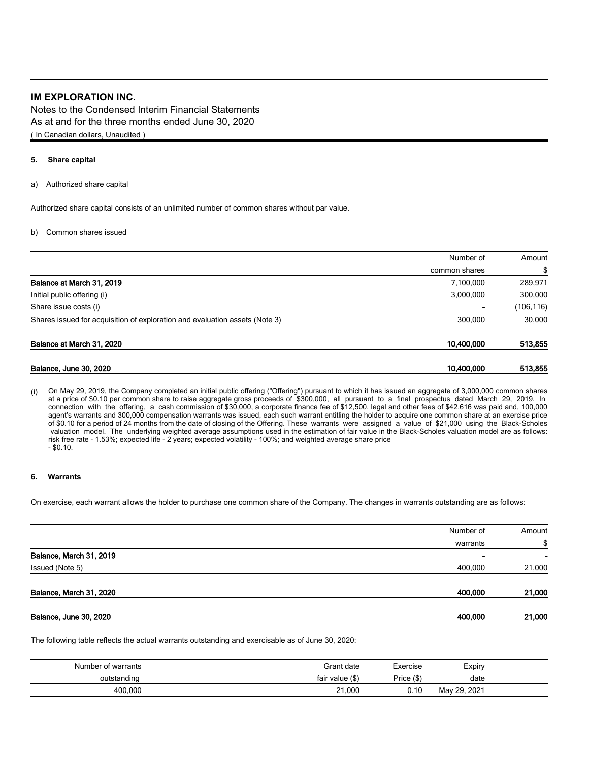Notes to the Condensed Interim Financial Statements As at and for the three months ended June 30, 2020 ( In Canadian dollars, Unaudited )

#### **5. Share capital**

a) Authorized share capital

Authorized share capital consists of an unlimited number of common shares without par value.

#### b) Common shares issued

|                                                                             | Number of     | Amount    |
|-----------------------------------------------------------------------------|---------------|-----------|
|                                                                             | common shares | \$        |
| Balance at March 31, 2019                                                   | 7,100,000     | 289,971   |
| Initial public offering (i)                                                 | 3,000,000     | 300,000   |
| Share issue costs (i)                                                       |               | (106,116) |
| Shares issued for acquisition of exploration and evaluation assets (Note 3) | 300,000       | 30,000    |
| Balance at March 31, 2020                                                   | 10,400,000    | 513,855   |
| Balance, June 30, 2020                                                      | 10,400,000    | 513,855   |

(i) On May 29, 2019, the Company completed an initial public offering ("Offering") pursuant to which it has issued an aggregate of 3,000,000 common shares at a price of \$0.10 per common share to raise aggregate gross proceeds of \$300,000, all pursuant to a final prospectus dated March 29, 2019. In connection with the offering, a cash commission of \$30,000, a corporate finance fee of \$12,500, legal and other fees of \$42,616 was paid and, 100,000 agent's warrants and 300,000 compensation warrants was issued, each such warrant entitling the holder to acquire one common share at an exercise price of \$0.10 for a period of 24 months from the date of closing of the Offering. These warrants were assigned a value of \$21,000 using the Black-Scholes valuation model. The underlying weighted average assumptions used in the estimation of fair value in the Black-Scholes valuation model are as follows: risk free rate - 1.53%; expected life - 2 years; expected volatility - 100%; and weighted average share price - \$0.10.

#### **6. Warrants**

On exercise, each warrant allows the holder to purchase one common share of the Company. The changes in warrants outstanding are as follows:

|                               | Number of | Amount |
|-------------------------------|-----------|--------|
|                               | warrants  | \$     |
| Balance, March 31, 2019       | -         | ۰      |
| Issued (Note 5)               | 400,000   | 21,000 |
| Balance, March 31, 2020       | 400,000   | 21,000 |
| <b>Balance, June 30, 2020</b> | 400,000   | 21,000 |

The following table reflects the actual warrants outstanding and exercisable as of June 30, 2020:

| Number of warrants | Grant date      | Exercise  | Expiry       |  |
|--------------------|-----------------|-----------|--------------|--|
| outstanding        | fair value (\$) | Price (\$ | date         |  |
| 400,000            | 21,000          | 0.10      | May 29, 2021 |  |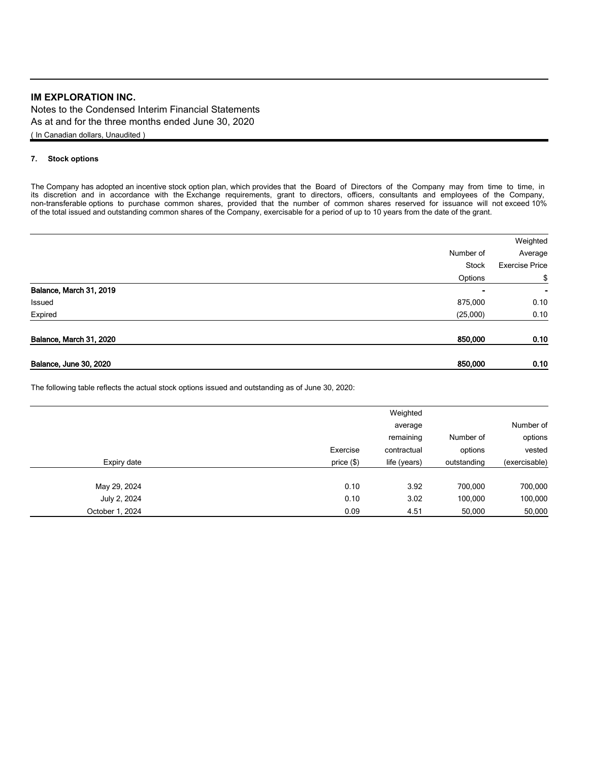Notes to the Condensed Interim Financial Statements As at and for the three months ended June 30, 2020 ( In Canadian dollars, Unaudited )

### **7. Stock options**

The Company has adopted an incentive stock option plan, which provides that the Board of Directors of the Company may from time to time, in its discretion and in accordance with the Exchange requirements, grant to directors, officers, consultants and employees of the Company, non-transferable options to purchase common shares, provided that the number of common shares reserved for issuance will not exceed 10% of the total issued and outstanding common shares of the Company, exercisable for a period of up to 10 years from the date of the grant.

|                               |                | Weighted              |
|-------------------------------|----------------|-----------------------|
|                               | Number of      | Average               |
|                               | <b>Stock</b>   | <b>Exercise Price</b> |
|                               | Options        | \$                    |
| Balance, March 31, 2019       | $\blacksquare$ | ۰                     |
| Issued                        | 875,000        | 0.10                  |
| Expired                       | (25,000)       | 0.10                  |
| Balance, March 31, 2020       | 850,000        | 0.10                  |
| <b>Balance, June 30, 2020</b> | 850,000        | 0.10                  |

The following table reflects the actual stock options issued and outstanding as of June 30, 2020:

|               |             | Weighted     |              |                 |
|---------------|-------------|--------------|--------------|-----------------|
| Number of     |             | average      |              |                 |
| options       | Number of   | remaining    |              |                 |
| vested        | options     | contractual  | Exercise     |                 |
| (exercisable) | outstanding | life (years) | price $(\$)$ | Expiry date     |
| 700,000       | 700,000     | 3.92         | 0.10         | May 29, 2024    |
| 100,000       | 100,000     | 3.02         | 0.10         | July 2, 2024    |
| 50,000        | 50,000      | 4.51         | 0.09         | October 1, 2024 |